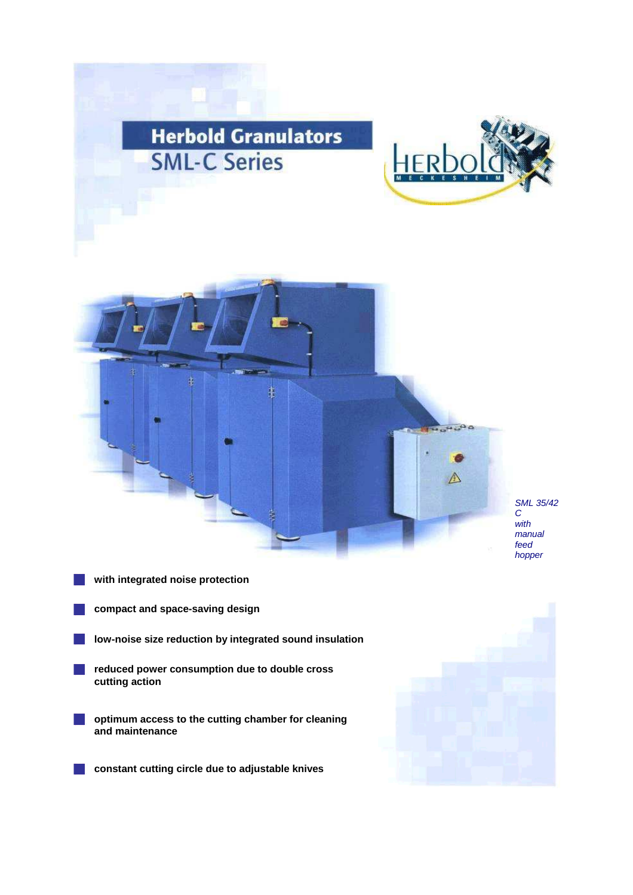





SML 35/42 manual hopper

- **with integrated noise protection**
- **compact and space-saving design**
- **low-noise size reduction by integrated sound insulation**
- **reduced power consumption due to double cross cutting action**
- **optimum access to the cutting chamber for cleaning and maintenance**
	- **constant cutting circle due to adjustable knives**

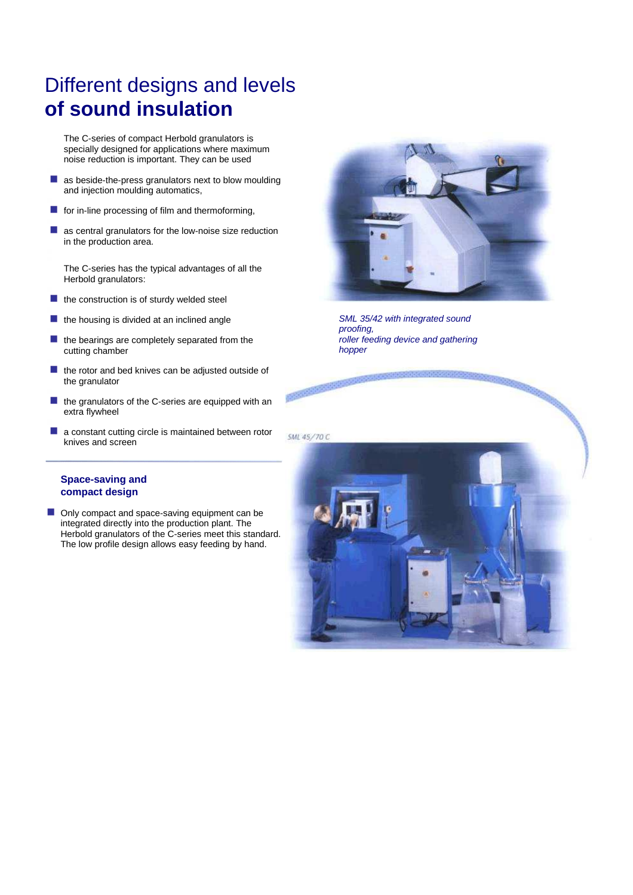## Different designs and levels **of sound insulation**

The C-series of compact Herbold granulators is specially designed for applications where maximum noise reduction is important. They can be used

- m, as beside-the-press granulators next to blow moulding and injection moulding automatics,
- $\blacksquare$  for in-line processing of film and thermoforming,
- as central granulators for the low-noise size reduction in the production area.

The C-series has the typical advantages of all the Herbold granulators:

- $\mathcal{C}_{\mathcal{A}}$ the construction is of sturdy welded steel
- $\blacksquare$  the housing is divided at an inclined angle
- F. the bearings are completely separated from the cutting chamber
- the rotor and bed knives can be adjusted outside of m, the granulator
- $\blacksquare$  the granulators of the C-series are equipped with an extra flywheel
- a constant cutting circle is maintained between rotor  $\mathcal{C}^{\mathcal{A}}$ knives and screen



SML 35/42 with integrated sound proofing, roller feeding device and gathering hopper

**Principal Color** 

## **Space-saving and compact design**

 $\mathcal{L}_{\mathcal{A}}$ Only compact and space-saving equipment can be integrated directly into the production plant. The Herbold granulators of the C-series meet this standard. The low profile design allows easy feeding by hand.

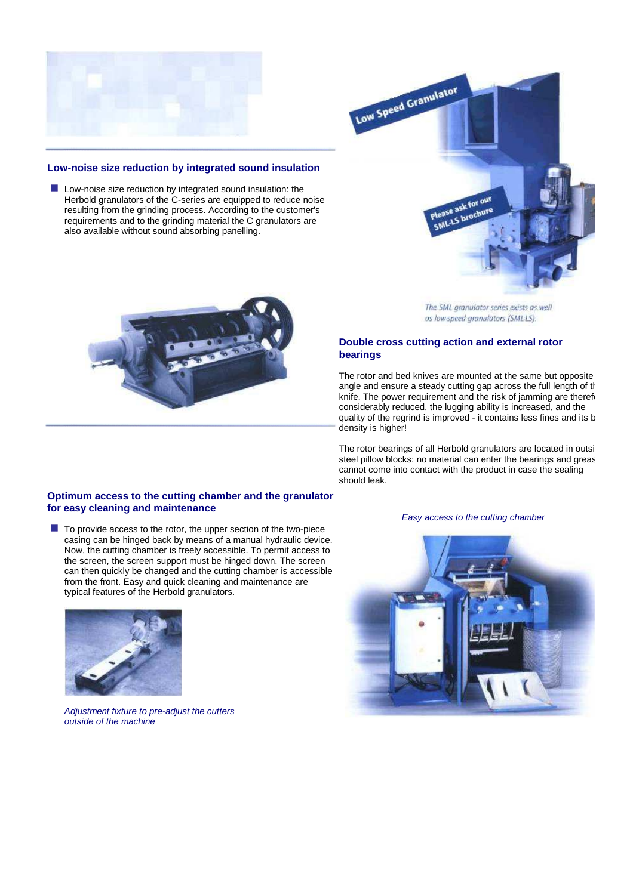

## **Low-noise size reduction by integrated sound insulation**

**Low-noise size reduction by integrated sound insulation: the** Herbold granulators of the C-series are equipped to reduce noise resulting from the grinding process. According to the customer's requirements and to the grinding material the C granulators are also available without sound absorbing panelling.





The SML granulator series exists as well as low-speed granulators (SML-LS).

## **Double cross cutting action and external rotor bearings**

The rotor and bed knives are mounted at the same but opposite angle and ensure a steady cutting gap across the full length of the knife. The power requirement and the risk of jamming are therefore considerably reduced, the lugging ability is increased, and the quality of the regrind is improved - it contains less fines and its b density is higher!

The rotor bearings of all Herbold granulators are located in outsi steel pillow blocks: no material can enter the bearings and greas cannot come into contact with the product in case the sealing should leak.

### **Optimum access to the cutting chamber and the granulator for easy cleaning and maintenance**

■ To provide access to the rotor, the upper section of the two-piece casing can be hinged back by means of a manual hydraulic device. Now, the cutting chamber is freely accessible. To permit access to the screen, the screen support must be hinged down. The screen can then quickly be changed and the cutting chamber is accessible from the front. Easy and quick cleaning and maintenance are typical features of the Herbold granulators.



Adjustment fixture to pre-adjust the cutters outside of the machine

#### Easy access to the cutting chamber